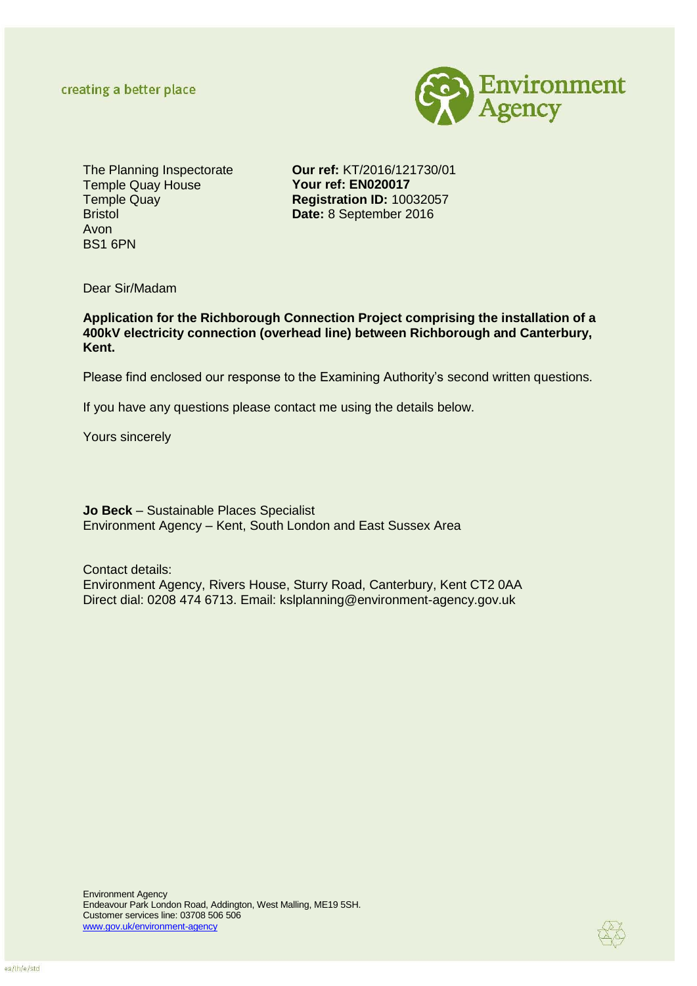

The Planning Inspectorate Temple Quay House Temple Quay Bristol Avon BS1 6PN

**Our ref:** KT/2016/121730/01 **Your ref: EN020017 Registration ID:** 10032057 **Date:** 8 September 2016

Dear Sir/Madam

**Application for the Richborough Connection Project comprising the installation of a 400kV electricity connection (overhead line) between Richborough and Canterbury, Kent.** 

Please find enclosed our response to the Examining Authority's second written questions.

If you have any questions please contact me using the details below.

Yours sincerely

**Jo Beck** – Sustainable Places Specialist Environment Agency – Kent, South London and East Sussex Area

Contact details: Environment Agency, Rivers House, Sturry Road, Canterbury, Kent CT2 0AA Direct dial: 0208 474 6713. Email: kslplanning@environment-agency.gov.uk

Environment Agency Endeavour Park London Road, Addington, West Malling, ME19 5SH. Customer services line: 03708 506 506 [www.gov.uk/environment-agency](http://www.gov.uk/environment-agency)

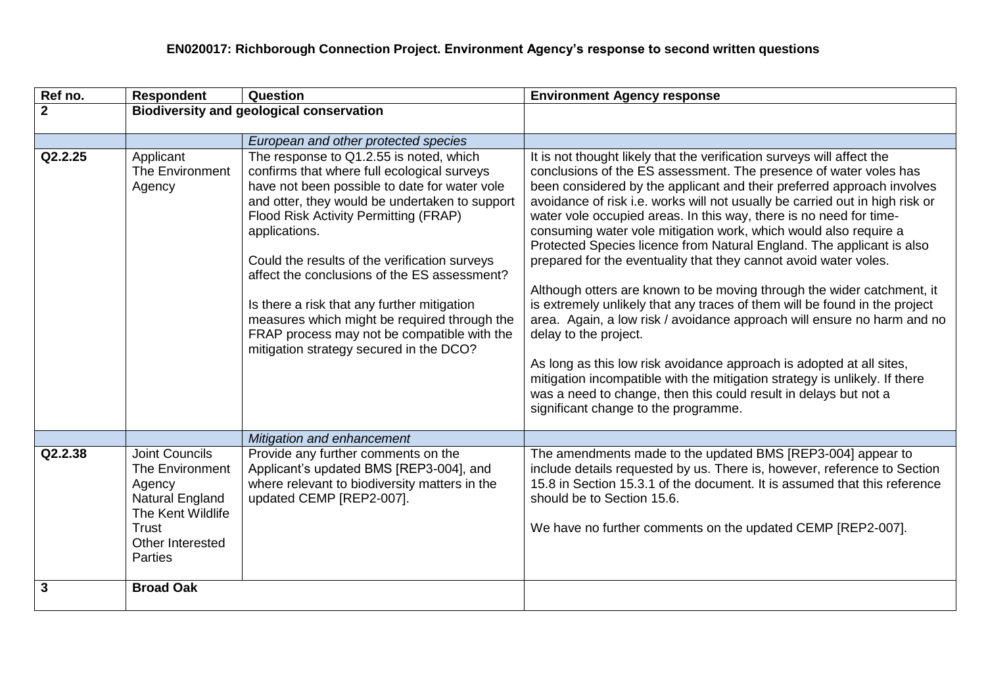| Ref no.      | <b>Respondent</b>                                                                                                                                | Question                                                                                                                                                                                                                                                                                                                                                                                                                                                                                                                                      | <b>Environment Agency response</b>                                                                                                                                                                                                                                                                                                                                                                                                                                                                                                                                                                                                                                                                                                                                                                                                                                                                                                                                                                                                                                                                                         |
|--------------|--------------------------------------------------------------------------------------------------------------------------------------------------|-----------------------------------------------------------------------------------------------------------------------------------------------------------------------------------------------------------------------------------------------------------------------------------------------------------------------------------------------------------------------------------------------------------------------------------------------------------------------------------------------------------------------------------------------|----------------------------------------------------------------------------------------------------------------------------------------------------------------------------------------------------------------------------------------------------------------------------------------------------------------------------------------------------------------------------------------------------------------------------------------------------------------------------------------------------------------------------------------------------------------------------------------------------------------------------------------------------------------------------------------------------------------------------------------------------------------------------------------------------------------------------------------------------------------------------------------------------------------------------------------------------------------------------------------------------------------------------------------------------------------------------------------------------------------------------|
| $\mathbf{2}$ | <b>Biodiversity and geological conservation</b>                                                                                                  |                                                                                                                                                                                                                                                                                                                                                                                                                                                                                                                                               |                                                                                                                                                                                                                                                                                                                                                                                                                                                                                                                                                                                                                                                                                                                                                                                                                                                                                                                                                                                                                                                                                                                            |
|              |                                                                                                                                                  |                                                                                                                                                                                                                                                                                                                                                                                                                                                                                                                                               |                                                                                                                                                                                                                                                                                                                                                                                                                                                                                                                                                                                                                                                                                                                                                                                                                                                                                                                                                                                                                                                                                                                            |
|              |                                                                                                                                                  | European and other protected species                                                                                                                                                                                                                                                                                                                                                                                                                                                                                                          |                                                                                                                                                                                                                                                                                                                                                                                                                                                                                                                                                                                                                                                                                                                                                                                                                                                                                                                                                                                                                                                                                                                            |
| Q2.2.25      | Applicant<br><b>The Environment</b><br>Agency                                                                                                    | The response to Q1.2.55 is noted, which<br>confirms that where full ecological surveys<br>have not been possible to date for water vole<br>and otter, they would be undertaken to support<br>Flood Risk Activity Permitting (FRAP)<br>applications.<br>Could the results of the verification surveys<br>affect the conclusions of the ES assessment?<br>Is there a risk that any further mitigation<br>measures which might be required through the<br>FRAP process may not be compatible with the<br>mitigation strategy secured in the DCO? | It is not thought likely that the verification surveys will affect the<br>conclusions of the ES assessment. The presence of water voles has<br>been considered by the applicant and their preferred approach involves<br>avoidance of risk i.e. works will not usually be carried out in high risk or<br>water vole occupied areas. In this way, there is no need for time-<br>consuming water vole mitigation work, which would also require a<br>Protected Species licence from Natural England. The applicant is also<br>prepared for the eventuality that they cannot avoid water voles.<br>Although otters are known to be moving through the wider catchment, it<br>is extremely unlikely that any traces of them will be found in the project<br>area. Again, a low risk / avoidance approach will ensure no harm and no<br>delay to the project.<br>As long as this low risk avoidance approach is adopted at all sites,<br>mitigation incompatible with the mitigation strategy is unlikely. If there<br>was a need to change, then this could result in delays but not a<br>significant change to the programme. |
|              |                                                                                                                                                  | Mitigation and enhancement                                                                                                                                                                                                                                                                                                                                                                                                                                                                                                                    |                                                                                                                                                                                                                                                                                                                                                                                                                                                                                                                                                                                                                                                                                                                                                                                                                                                                                                                                                                                                                                                                                                                            |
| Q2.2.38      | <b>Joint Councils</b><br>The Environment<br>Agency<br>Natural England<br>The Kent Wildlife<br><b>Trust</b><br>Other Interested<br><b>Parties</b> | Provide any further comments on the<br>Applicant's updated BMS [REP3-004], and<br>where relevant to biodiversity matters in the<br>updated CEMP [REP2-007].                                                                                                                                                                                                                                                                                                                                                                                   | The amendments made to the updated BMS [REP3-004] appear to<br>include details requested by us. There is, however, reference to Section<br>15.8 in Section 15.3.1 of the document. It is assumed that this reference<br>should be to Section 15.6.<br>We have no further comments on the updated CEMP [REP2-007].                                                                                                                                                                                                                                                                                                                                                                                                                                                                                                                                                                                                                                                                                                                                                                                                          |
| 3            | <b>Broad Oak</b>                                                                                                                                 |                                                                                                                                                                                                                                                                                                                                                                                                                                                                                                                                               |                                                                                                                                                                                                                                                                                                                                                                                                                                                                                                                                                                                                                                                                                                                                                                                                                                                                                                                                                                                                                                                                                                                            |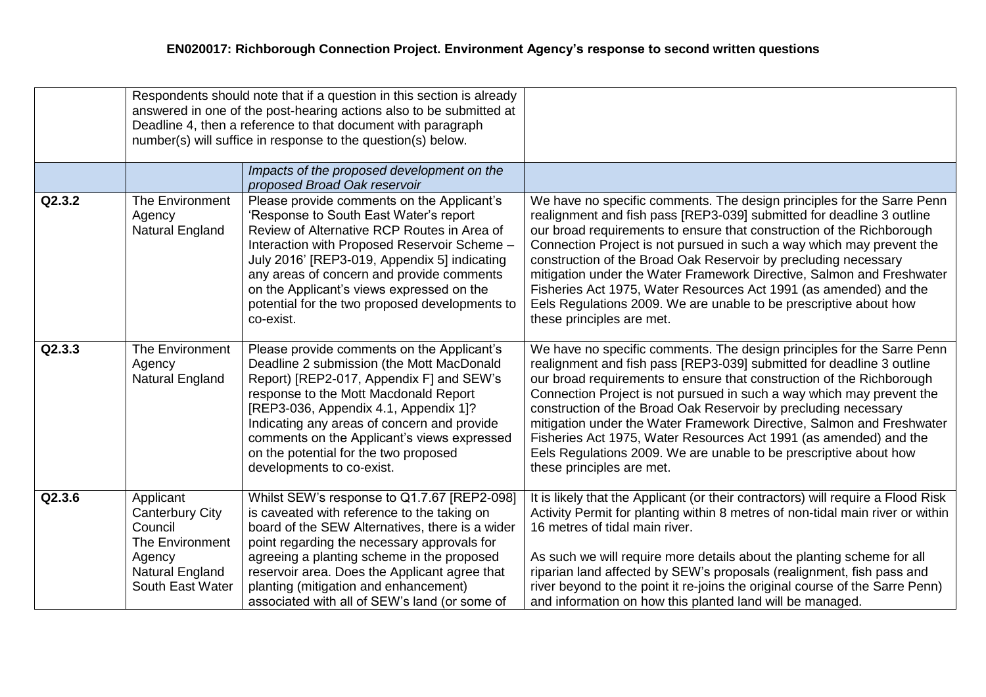|        | Respondents should note that if a question in this section is already<br>answered in one of the post-hearing actions also to be submitted at<br>Deadline 4, then a reference to that document with paragraph<br>number(s) will suffice in response to the question(s) below. |                                                                                                                                                                                                                                                                                                                                                                                              |                                                                                                                                                                                                                                                                                                                                                                                                                                                                                                                                                                                                                      |
|--------|------------------------------------------------------------------------------------------------------------------------------------------------------------------------------------------------------------------------------------------------------------------------------|----------------------------------------------------------------------------------------------------------------------------------------------------------------------------------------------------------------------------------------------------------------------------------------------------------------------------------------------------------------------------------------------|----------------------------------------------------------------------------------------------------------------------------------------------------------------------------------------------------------------------------------------------------------------------------------------------------------------------------------------------------------------------------------------------------------------------------------------------------------------------------------------------------------------------------------------------------------------------------------------------------------------------|
|        |                                                                                                                                                                                                                                                                              | Impacts of the proposed development on the<br>proposed Broad Oak reservoir                                                                                                                                                                                                                                                                                                                   |                                                                                                                                                                                                                                                                                                                                                                                                                                                                                                                                                                                                                      |
| Q2.3.2 | The Environment<br>Agency<br>Natural England                                                                                                                                                                                                                                 | Please provide comments on the Applicant's<br>'Response to South East Water's report<br>Review of Alternative RCP Routes in Area of<br>Interaction with Proposed Reservoir Scheme -<br>July 2016' [REP3-019, Appendix 5] indicating<br>any areas of concern and provide comments<br>on the Applicant's views expressed on the<br>potential for the two proposed developments to<br>co-exist. | We have no specific comments. The design principles for the Sarre Penn<br>realignment and fish pass [REP3-039] submitted for deadline 3 outline<br>our broad requirements to ensure that construction of the Richborough<br>Connection Project is not pursued in such a way which may prevent the<br>construction of the Broad Oak Reservoir by precluding necessary<br>mitigation under the Water Framework Directive, Salmon and Freshwater<br>Fisheries Act 1975, Water Resources Act 1991 (as amended) and the<br>Eels Regulations 2009. We are unable to be prescriptive about how<br>these principles are met. |
| Q2.3.3 | The Environment<br>Agency<br>Natural England                                                                                                                                                                                                                                 | Please provide comments on the Applicant's<br>Deadline 2 submission (the Mott MacDonald<br>Report) [REP2-017, Appendix F] and SEW's<br>response to the Mott Macdonald Report<br>[REP3-036, Appendix 4.1, Appendix 1]?<br>Indicating any areas of concern and provide<br>comments on the Applicant's views expressed<br>on the potential for the two proposed<br>developments to co-exist.    | We have no specific comments. The design principles for the Sarre Penn<br>realignment and fish pass [REP3-039] submitted for deadline 3 outline<br>our broad requirements to ensure that construction of the Richborough<br>Connection Project is not pursued in such a way which may prevent the<br>construction of the Broad Oak Reservoir by precluding necessary<br>mitigation under the Water Framework Directive, Salmon and Freshwater<br>Fisheries Act 1975, Water Resources Act 1991 (as amended) and the<br>Eels Regulations 2009. We are unable to be prescriptive about how<br>these principles are met. |
| Q2.3.6 | Applicant<br><b>Canterbury City</b><br>Council<br>The Environment<br>Agency<br>Natural England<br>South East Water                                                                                                                                                           | Whilst SEW's response to Q1.7.67 [REP2-098]<br>is caveated with reference to the taking on<br>board of the SEW Alternatives, there is a wider<br>point regarding the necessary approvals for<br>agreeing a planting scheme in the proposed<br>reservoir area. Does the Applicant agree that<br>planting (mitigation and enhancement)<br>associated with all of SEW's land (or some of        | It is likely that the Applicant (or their contractors) will require a Flood Risk<br>Activity Permit for planting within 8 metres of non-tidal main river or within<br>16 metres of tidal main river.<br>As such we will require more details about the planting scheme for all<br>riparian land affected by SEW's proposals (realignment, fish pass and<br>river beyond to the point it re-joins the original course of the Sarre Penn)<br>and information on how this planted land will be managed.                                                                                                                 |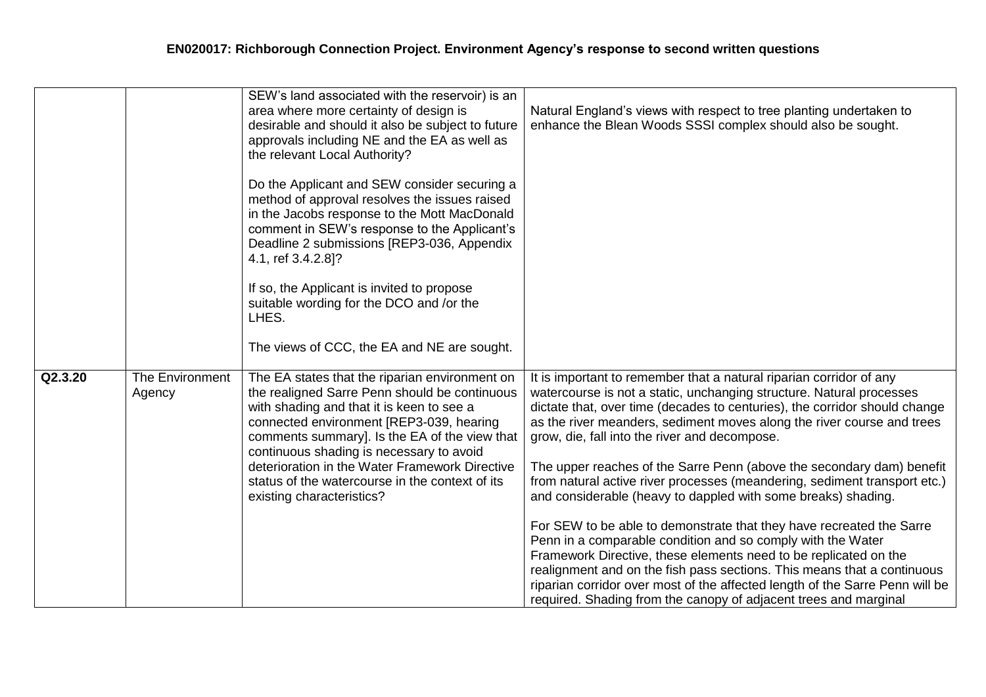|         |                           | SEW's land associated with the reservoir) is an<br>area where more certainty of design is<br>desirable and should it also be subject to future<br>approvals including NE and the EA as well as<br>the relevant Local Authority?<br>Do the Applicant and SEW consider securing a<br>method of approval resolves the issues raised<br>in the Jacobs response to the Mott MacDonald<br>comment in SEW's response to the Applicant's<br>Deadline 2 submissions [REP3-036, Appendix<br>4.1, ref 3.4.2.8]?<br>If so, the Applicant is invited to propose<br>suitable wording for the DCO and /or the<br>LHES.<br>The views of CCC, the EA and NE are sought. | Natural England's views with respect to tree planting undertaken to<br>enhance the Blean Woods SSSI complex should also be sought.                                                                                                                                                                                                                                                                                                                                                                                                                                                                                                                                                                                                                                                                                                                                                                                                                                                                                    |
|---------|---------------------------|--------------------------------------------------------------------------------------------------------------------------------------------------------------------------------------------------------------------------------------------------------------------------------------------------------------------------------------------------------------------------------------------------------------------------------------------------------------------------------------------------------------------------------------------------------------------------------------------------------------------------------------------------------|-----------------------------------------------------------------------------------------------------------------------------------------------------------------------------------------------------------------------------------------------------------------------------------------------------------------------------------------------------------------------------------------------------------------------------------------------------------------------------------------------------------------------------------------------------------------------------------------------------------------------------------------------------------------------------------------------------------------------------------------------------------------------------------------------------------------------------------------------------------------------------------------------------------------------------------------------------------------------------------------------------------------------|
| Q2.3.20 | The Environment<br>Agency | The EA states that the riparian environment on<br>the realigned Sarre Penn should be continuous<br>with shading and that it is keen to see a<br>connected environment [REP3-039, hearing<br>comments summary]. Is the EA of the view that<br>continuous shading is necessary to avoid<br>deterioration in the Water Framework Directive<br>status of the watercourse in the context of its<br>existing characteristics?                                                                                                                                                                                                                                | It is important to remember that a natural riparian corridor of any<br>watercourse is not a static, unchanging structure. Natural processes<br>dictate that, over time (decades to centuries), the corridor should change<br>as the river meanders, sediment moves along the river course and trees<br>grow, die, fall into the river and decompose.<br>The upper reaches of the Sarre Penn (above the secondary dam) benefit<br>from natural active river processes (meandering, sediment transport etc.)<br>and considerable (heavy to dappled with some breaks) shading.<br>For SEW to be able to demonstrate that they have recreated the Sarre<br>Penn in a comparable condition and so comply with the Water<br>Framework Directive, these elements need to be replicated on the<br>realignment and on the fish pass sections. This means that a continuous<br>riparian corridor over most of the affected length of the Sarre Penn will be<br>required. Shading from the canopy of adjacent trees and marginal |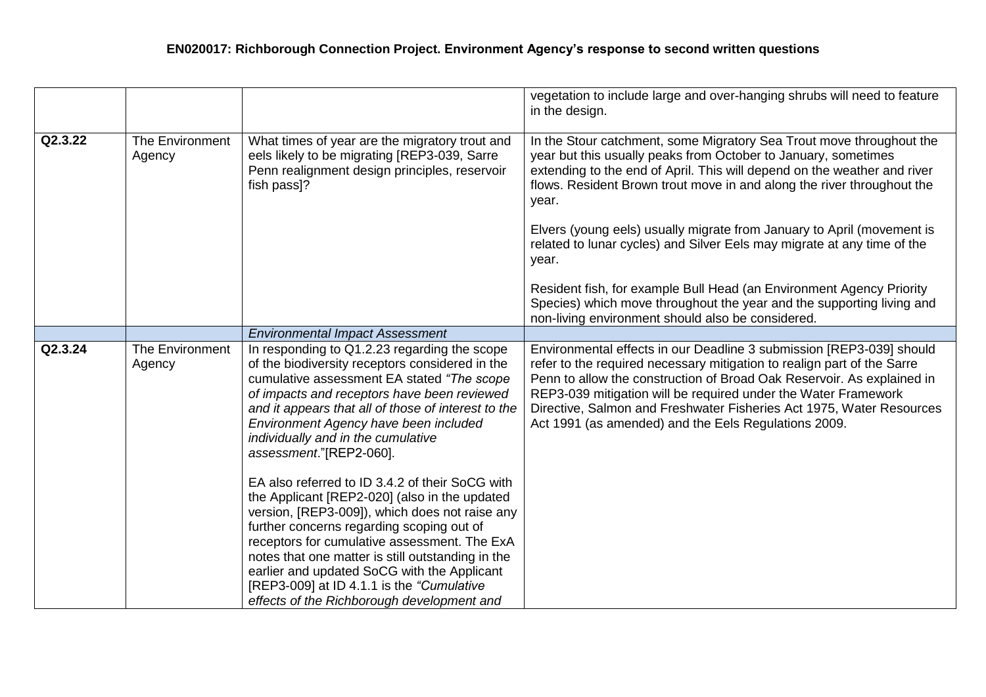|         |                           |                                                                                                                                                                                                                                                                                                                                                                                                                                                 | vegetation to include large and over-hanging shrubs will need to feature<br>in the design.                                                                                                                                                                                                                                                                                                                                  |
|---------|---------------------------|-------------------------------------------------------------------------------------------------------------------------------------------------------------------------------------------------------------------------------------------------------------------------------------------------------------------------------------------------------------------------------------------------------------------------------------------------|-----------------------------------------------------------------------------------------------------------------------------------------------------------------------------------------------------------------------------------------------------------------------------------------------------------------------------------------------------------------------------------------------------------------------------|
| Q2.3.22 | The Environment<br>Agency | What times of year are the migratory trout and<br>eels likely to be migrating [REP3-039, Sarre<br>Penn realignment design principles, reservoir<br>fish pass]?                                                                                                                                                                                                                                                                                  | In the Stour catchment, some Migratory Sea Trout move throughout the<br>year but this usually peaks from October to January, sometimes<br>extending to the end of April. This will depend on the weather and river<br>flows. Resident Brown trout move in and along the river throughout the<br>year.                                                                                                                       |
|         |                           |                                                                                                                                                                                                                                                                                                                                                                                                                                                 | Elvers (young eels) usually migrate from January to April (movement is<br>related to lunar cycles) and Silver Eels may migrate at any time of the<br>year.                                                                                                                                                                                                                                                                  |
|         |                           |                                                                                                                                                                                                                                                                                                                                                                                                                                                 | Resident fish, for example Bull Head (an Environment Agency Priority<br>Species) which move throughout the year and the supporting living and<br>non-living environment should also be considered.                                                                                                                                                                                                                          |
|         |                           | <b>Environmental Impact Assessment</b>                                                                                                                                                                                                                                                                                                                                                                                                          |                                                                                                                                                                                                                                                                                                                                                                                                                             |
| Q2.3.24 | The Environment<br>Agency | In responding to Q1.2.23 regarding the scope<br>of the biodiversity receptors considered in the<br>cumulative assessment EA stated "The scope<br>of impacts and receptors have been reviewed<br>and it appears that all of those of interest to the<br>Environment Agency have been included<br>individually and in the cumulative<br>assessment."[REP2-060].                                                                                   | Environmental effects in our Deadline 3 submission [REP3-039] should<br>refer to the required necessary mitigation to realign part of the Sarre<br>Penn to allow the construction of Broad Oak Reservoir. As explained in<br>REP3-039 mitigation will be required under the Water Framework<br>Directive, Salmon and Freshwater Fisheries Act 1975, Water Resources<br>Act 1991 (as amended) and the Eels Regulations 2009. |
|         |                           | EA also referred to ID 3.4.2 of their SoCG with<br>the Applicant [REP2-020] (also in the updated<br>version, [REP3-009]), which does not raise any<br>further concerns regarding scoping out of<br>receptors for cumulative assessment. The ExA<br>notes that one matter is still outstanding in the<br>earlier and updated SoCG with the Applicant<br>[REP3-009] at ID 4.1.1 is the "Cumulative"<br>effects of the Richborough development and |                                                                                                                                                                                                                                                                                                                                                                                                                             |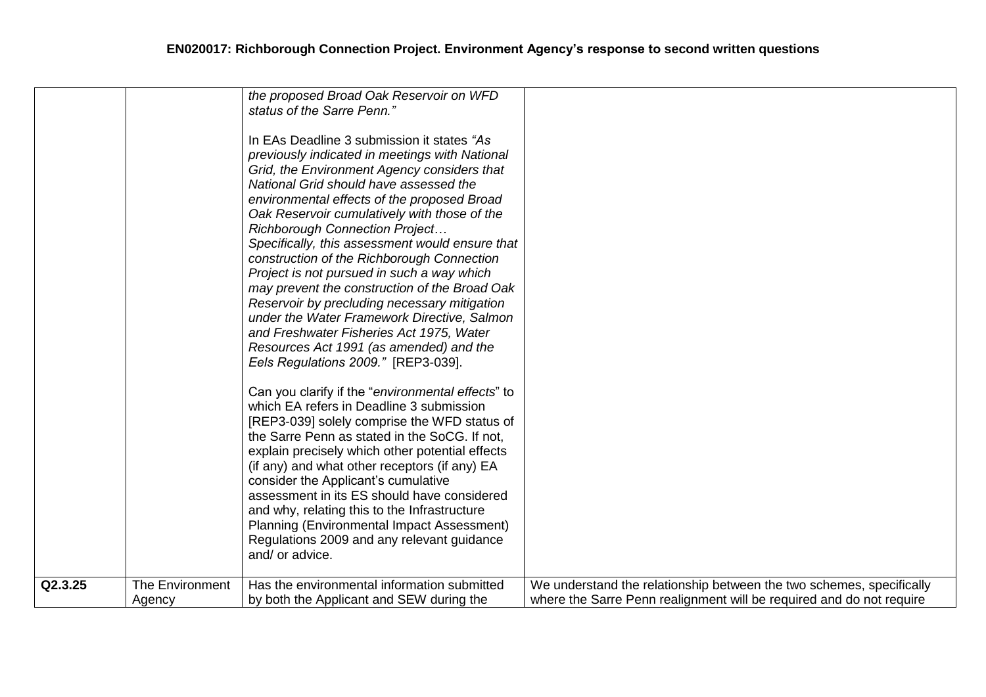|         |                 | the proposed Broad Oak Reservoir on WFD<br>status of the Sarre Penn."<br>In EAs Deadline 3 submission it states "As<br>previously indicated in meetings with National<br>Grid, the Environment Agency considers that<br>National Grid should have assessed the<br>environmental effects of the proposed Broad<br>Oak Reservoir cumulatively with those of the<br><b>Richborough Connection Project</b><br>Specifically, this assessment would ensure that<br>construction of the Richborough Connection<br>Project is not pursued in such a way which<br>may prevent the construction of the Broad Oak<br>Reservoir by precluding necessary mitigation<br>under the Water Framework Directive, Salmon<br>and Freshwater Fisheries Act 1975, Water<br>Resources Act 1991 (as amended) and the<br>Eels Regulations 2009." [REP3-039].<br>Can you clarify if the "environmental effects" to<br>which EA refers in Deadline 3 submission<br>[REP3-039] solely comprise the WFD status of<br>the Sarre Penn as stated in the SoCG. If not,<br>explain precisely which other potential effects<br>(if any) and what other receptors (if any) EA<br>consider the Applicant's cumulative<br>assessment in its ES should have considered<br>and why, relating this to the Infrastructure<br>Planning (Environmental Impact Assessment)<br>Regulations 2009 and any relevant guidance<br>and/ or advice. |                                                                      |
|---------|-----------------|------------------------------------------------------------------------------------------------------------------------------------------------------------------------------------------------------------------------------------------------------------------------------------------------------------------------------------------------------------------------------------------------------------------------------------------------------------------------------------------------------------------------------------------------------------------------------------------------------------------------------------------------------------------------------------------------------------------------------------------------------------------------------------------------------------------------------------------------------------------------------------------------------------------------------------------------------------------------------------------------------------------------------------------------------------------------------------------------------------------------------------------------------------------------------------------------------------------------------------------------------------------------------------------------------------------------------------------------------------------------------------------------|----------------------------------------------------------------------|
| Q2.3.25 | The Environment | Has the environmental information submitted                                                                                                                                                                                                                                                                                                                                                                                                                                                                                                                                                                                                                                                                                                                                                                                                                                                                                                                                                                                                                                                                                                                                                                                                                                                                                                                                                    | We understand the relationship between the two schemes, specifically |
|         | Agency          | by both the Applicant and SEW during the                                                                                                                                                                                                                                                                                                                                                                                                                                                                                                                                                                                                                                                                                                                                                                                                                                                                                                                                                                                                                                                                                                                                                                                                                                                                                                                                                       | where the Sarre Penn realignment will be required and do not require |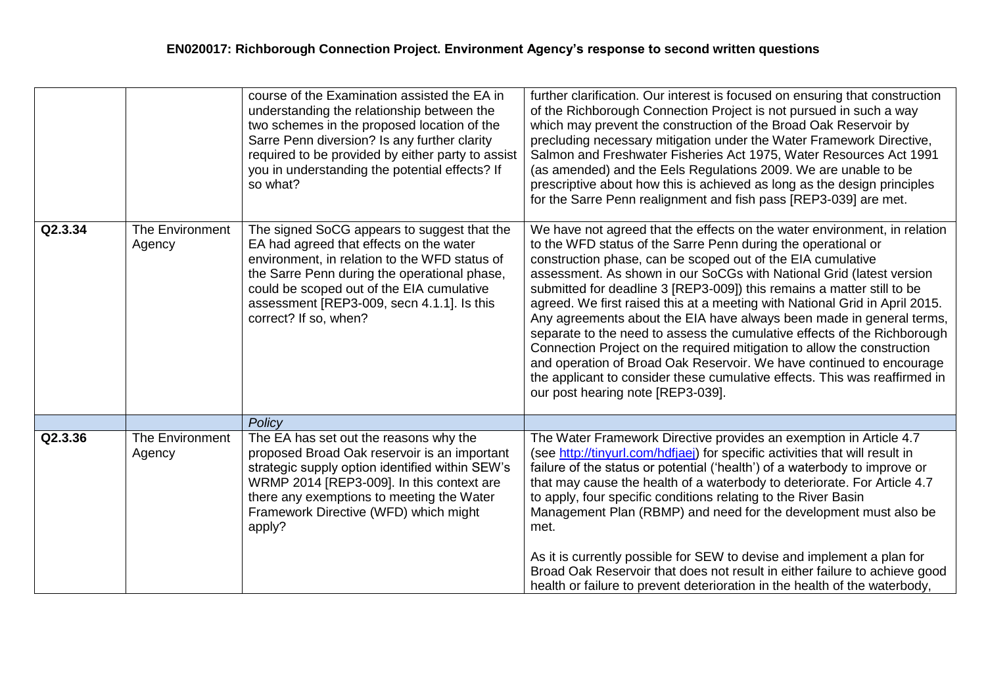|         |                                  | course of the Examination assisted the EA in<br>understanding the relationship between the<br>two schemes in the proposed location of the<br>Sarre Penn diversion? Is any further clarity<br>required to be provided by either party to assist<br>you in understanding the potential effects? If<br>so what? | further clarification. Our interest is focused on ensuring that construction<br>of the Richborough Connection Project is not pursued in such a way<br>which may prevent the construction of the Broad Oak Reservoir by<br>precluding necessary mitigation under the Water Framework Directive,<br>Salmon and Freshwater Fisheries Act 1975, Water Resources Act 1991<br>(as amended) and the Eels Regulations 2009. We are unable to be<br>prescriptive about how this is achieved as long as the design principles<br>for the Sarre Penn realignment and fish pass [REP3-039] are met.                                                                                                                                                                                                                                                                              |
|---------|----------------------------------|--------------------------------------------------------------------------------------------------------------------------------------------------------------------------------------------------------------------------------------------------------------------------------------------------------------|----------------------------------------------------------------------------------------------------------------------------------------------------------------------------------------------------------------------------------------------------------------------------------------------------------------------------------------------------------------------------------------------------------------------------------------------------------------------------------------------------------------------------------------------------------------------------------------------------------------------------------------------------------------------------------------------------------------------------------------------------------------------------------------------------------------------------------------------------------------------|
| Q2.3.34 | <b>The Environment</b><br>Agency | The signed SoCG appears to suggest that the<br>EA had agreed that effects on the water<br>environment, in relation to the WFD status of<br>the Sarre Penn during the operational phase,<br>could be scoped out of the EIA cumulative<br>assessment [REP3-009, secn 4.1.1]. Is this<br>correct? If so, when?  | We have not agreed that the effects on the water environment, in relation<br>to the WFD status of the Sarre Penn during the operational or<br>construction phase, can be scoped out of the EIA cumulative<br>assessment. As shown in our SoCGs with National Grid (latest version<br>submitted for deadline 3 [REP3-009]) this remains a matter still to be<br>agreed. We first raised this at a meeting with National Grid in April 2015.<br>Any agreements about the EIA have always been made in general terms,<br>separate to the need to assess the cumulative effects of the Richborough<br>Connection Project on the required mitigation to allow the construction<br>and operation of Broad Oak Reservoir. We have continued to encourage<br>the applicant to consider these cumulative effects. This was reaffirmed in<br>our post hearing note [REP3-039]. |
|         |                                  | Policy                                                                                                                                                                                                                                                                                                       |                                                                                                                                                                                                                                                                                                                                                                                                                                                                                                                                                                                                                                                                                                                                                                                                                                                                      |
| Q2.3.36 | The Environment<br>Agency        | The EA has set out the reasons why the<br>proposed Broad Oak reservoir is an important<br>strategic supply option identified within SEW's<br>WRMP 2014 [REP3-009]. In this context are<br>there any exemptions to meeting the Water<br>Framework Directive (WFD) which might<br>apply?                       | The Water Framework Directive provides an exemption in Article 4.7<br>(see http://tinyurl.com/hdfjaej) for specific activities that will result in<br>failure of the status or potential ('health') of a waterbody to improve or<br>that may cause the health of a waterbody to deteriorate. For Article 4.7<br>to apply, four specific conditions relating to the River Basin<br>Management Plan (RBMP) and need for the development must also be<br>met.<br>As it is currently possible for SEW to devise and implement a plan for                                                                                                                                                                                                                                                                                                                                 |
|         |                                  |                                                                                                                                                                                                                                                                                                              | Broad Oak Reservoir that does not result in either failure to achieve good<br>health or failure to prevent deterioration in the health of the waterbody,                                                                                                                                                                                                                                                                                                                                                                                                                                                                                                                                                                                                                                                                                                             |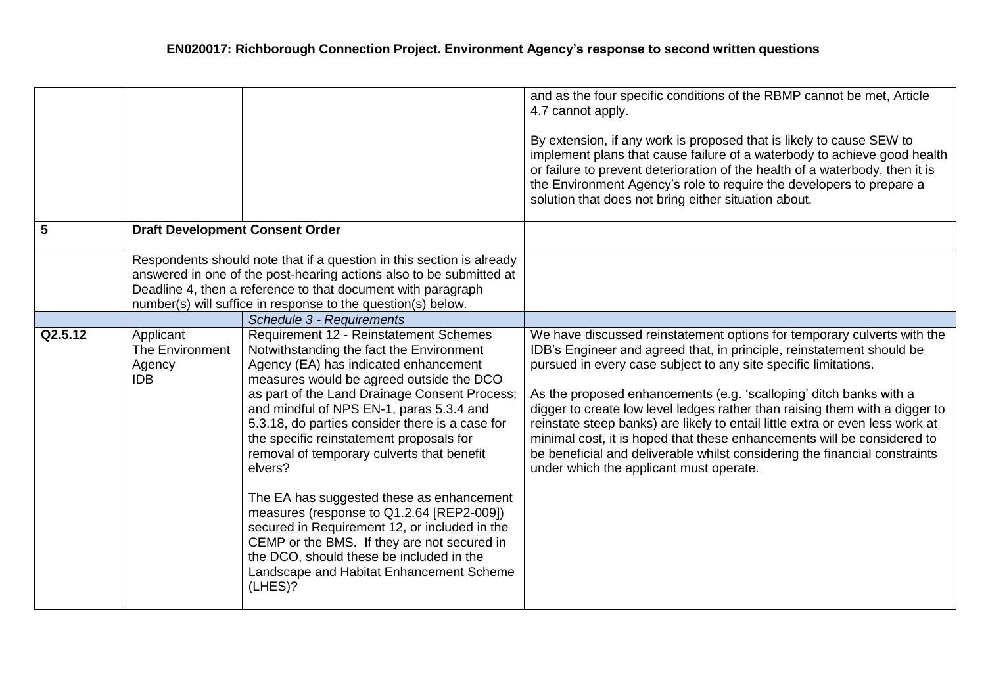| 5       | <b>Draft Development Consent Order</b>               |                                                                                                                                                                                                                                                                                                                                                                                                                                                                                                                                                                                                                                                                                                                           | and as the four specific conditions of the RBMP cannot be met, Article<br>4.7 cannot apply.<br>By extension, if any work is proposed that is likely to cause SEW to<br>implement plans that cause failure of a waterbody to achieve good health<br>or failure to prevent deterioration of the health of a waterbody, then it is<br>the Environment Agency's role to require the developers to prepare a<br>solution that does not bring either situation about.                                                                                                                                                                                               |
|---------|------------------------------------------------------|---------------------------------------------------------------------------------------------------------------------------------------------------------------------------------------------------------------------------------------------------------------------------------------------------------------------------------------------------------------------------------------------------------------------------------------------------------------------------------------------------------------------------------------------------------------------------------------------------------------------------------------------------------------------------------------------------------------------------|---------------------------------------------------------------------------------------------------------------------------------------------------------------------------------------------------------------------------------------------------------------------------------------------------------------------------------------------------------------------------------------------------------------------------------------------------------------------------------------------------------------------------------------------------------------------------------------------------------------------------------------------------------------|
|         |                                                      |                                                                                                                                                                                                                                                                                                                                                                                                                                                                                                                                                                                                                                                                                                                           |                                                                                                                                                                                                                                                                                                                                                                                                                                                                                                                                                                                                                                                               |
|         |                                                      | Respondents should note that if a question in this section is already<br>answered in one of the post-hearing actions also to be submitted at                                                                                                                                                                                                                                                                                                                                                                                                                                                                                                                                                                              |                                                                                                                                                                                                                                                                                                                                                                                                                                                                                                                                                                                                                                                               |
|         |                                                      | Deadline 4, then a reference to that document with paragraph                                                                                                                                                                                                                                                                                                                                                                                                                                                                                                                                                                                                                                                              |                                                                                                                                                                                                                                                                                                                                                                                                                                                                                                                                                                                                                                                               |
|         |                                                      | number(s) will suffice in response to the question(s) below.                                                                                                                                                                                                                                                                                                                                                                                                                                                                                                                                                                                                                                                              |                                                                                                                                                                                                                                                                                                                                                                                                                                                                                                                                                                                                                                                               |
|         |                                                      | Schedule 3 - Requirements                                                                                                                                                                                                                                                                                                                                                                                                                                                                                                                                                                                                                                                                                                 |                                                                                                                                                                                                                                                                                                                                                                                                                                                                                                                                                                                                                                                               |
| Q2.5.12 | Applicant<br>The Environment<br>Agency<br><b>IDB</b> | Requirement 12 - Reinstatement Schemes<br>Notwithstanding the fact the Environment<br>Agency (EA) has indicated enhancement<br>measures would be agreed outside the DCO<br>as part of the Land Drainage Consent Process;<br>and mindful of NPS EN-1, paras 5.3.4 and<br>5.3.18, do parties consider there is a case for<br>the specific reinstatement proposals for<br>removal of temporary culverts that benefit<br>elvers?<br>The EA has suggested these as enhancement<br>measures (response to Q1.2.64 [REP2-009])<br>secured in Requirement 12, or included in the<br>CEMP or the BMS. If they are not secured in<br>the DCO, should these be included in the<br>Landscape and Habitat Enhancement Scheme<br>(LHES)? | We have discussed reinstatement options for temporary culverts with the<br>IDB's Engineer and agreed that, in principle, reinstatement should be<br>pursued in every case subject to any site specific limitations.<br>As the proposed enhancements (e.g. 'scalloping' ditch banks with a<br>digger to create low level ledges rather than raising them with a digger to<br>reinstate steep banks) are likely to entail little extra or even less work at<br>minimal cost, it is hoped that these enhancements will be considered to<br>be beneficial and deliverable whilst considering the financial constraints<br>under which the applicant must operate. |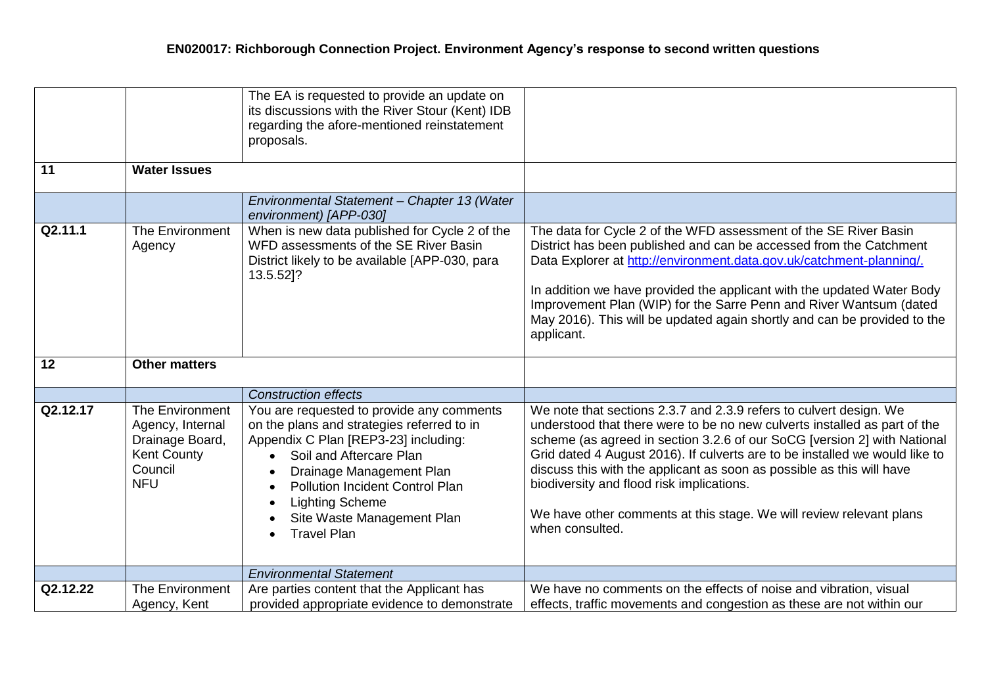|          |                                                                                                       | The EA is requested to provide an update on<br>its discussions with the River Stour (Kent) IDB<br>regarding the afore-mentioned reinstatement<br>proposals.                                                                                                                                                                 |                                                                                                                                                                                                                                                                                                                                                                                                                                                                                                                            |
|----------|-------------------------------------------------------------------------------------------------------|-----------------------------------------------------------------------------------------------------------------------------------------------------------------------------------------------------------------------------------------------------------------------------------------------------------------------------|----------------------------------------------------------------------------------------------------------------------------------------------------------------------------------------------------------------------------------------------------------------------------------------------------------------------------------------------------------------------------------------------------------------------------------------------------------------------------------------------------------------------------|
| 11       | <b>Water Issues</b>                                                                                   |                                                                                                                                                                                                                                                                                                                             |                                                                                                                                                                                                                                                                                                                                                                                                                                                                                                                            |
|          |                                                                                                       | Environmental Statement - Chapter 13 (Water<br>environment) [APP-030]                                                                                                                                                                                                                                                       |                                                                                                                                                                                                                                                                                                                                                                                                                                                                                                                            |
| Q2.11.1  | The Environment<br>Agency                                                                             | When is new data published for Cycle 2 of the<br>WFD assessments of the SE River Basin<br>District likely to be available [APP-030, para<br>13.5.52]?                                                                                                                                                                       | The data for Cycle 2 of the WFD assessment of the SE River Basin<br>District has been published and can be accessed from the Catchment<br>Data Explorer at http://environment.data.gov.uk/catchment-planning/.<br>In addition we have provided the applicant with the updated Water Body<br>Improvement Plan (WIP) for the Sarre Penn and River Wantsum (dated<br>May 2016). This will be updated again shortly and can be provided to the<br>applicant.                                                                   |
| 12       | <b>Other matters</b>                                                                                  |                                                                                                                                                                                                                                                                                                                             |                                                                                                                                                                                                                                                                                                                                                                                                                                                                                                                            |
|          |                                                                                                       | <b>Construction effects</b>                                                                                                                                                                                                                                                                                                 |                                                                                                                                                                                                                                                                                                                                                                                                                                                                                                                            |
| Q2.12.17 | The Environment<br>Agency, Internal<br>Drainage Board,<br><b>Kent County</b><br>Council<br><b>NFU</b> | You are requested to provide any comments<br>on the plans and strategies referred to in<br>Appendix C Plan [REP3-23] including:<br>Soil and Aftercare Plan<br>$\bullet$<br>Drainage Management Plan<br><b>Pollution Incident Control Plan</b><br><b>Lighting Scheme</b><br>Site Waste Management Plan<br><b>Travel Plan</b> | We note that sections 2.3.7 and 2.3.9 refers to culvert design. We<br>understood that there were to be no new culverts installed as part of the<br>scheme (as agreed in section 3.2.6 of our SoCG [version 2] with National<br>Grid dated 4 August 2016). If culverts are to be installed we would like to<br>discuss this with the applicant as soon as possible as this will have<br>biodiversity and flood risk implications.<br>We have other comments at this stage. We will review relevant plans<br>when consulted. |
|          |                                                                                                       | <b>Environmental Statement</b>                                                                                                                                                                                                                                                                                              |                                                                                                                                                                                                                                                                                                                                                                                                                                                                                                                            |
| Q2.12.22 | <b>The Environment</b><br>Agency, Kent                                                                | Are parties content that the Applicant has<br>provided appropriate evidence to demonstrate                                                                                                                                                                                                                                  | We have no comments on the effects of noise and vibration, visual<br>effects, traffic movements and congestion as these are not within our                                                                                                                                                                                                                                                                                                                                                                                 |